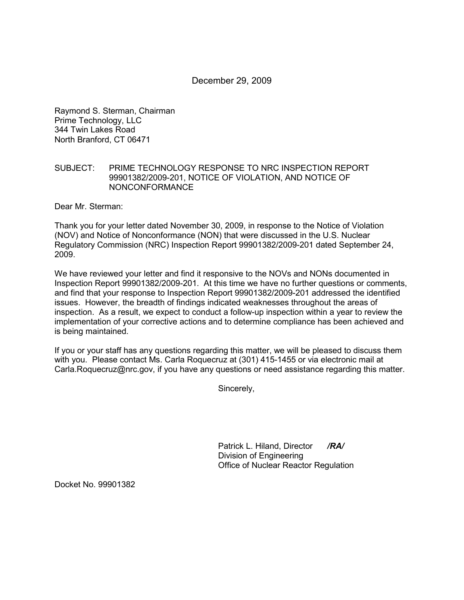# December 29, 2009

Raymond S. Sterman, Chairman Prime Technology, LLC 344 Twin Lakes Road North Branford, CT 06471

#### SUBJECT: PRIME TECHNOLOGY RESPONSE TO NRC INSPECTION REPORT 99901382/2009-201, NOTICE OF VIOLATION, AND NOTICE OF NONCONFORMANCE

Dear Mr. Sterman:

Thank you for your letter dated November 30, 2009, in response to the Notice of Violation (NOV) and Notice of Nonconformance (NON) that were discussed in the U.S. Nuclear Regulatory Commission (NRC) Inspection Report 99901382/2009-201 dated September 24, 2009.

We have reviewed your letter and find it responsive to the NOVs and NONs documented in Inspection Report 99901382/2009-201. At this time we have no further questions or comments, and find that your response to Inspection Report 99901382/2009-201 addressed the identified issues. However, the breadth of findings indicated weaknesses throughout the areas of inspection. As a result, we expect to conduct a follow-up inspection within a year to review the implementation of your corrective actions and to determine compliance has been achieved and is being maintained.

If you or your staff has any questions regarding this matter, we will be pleased to discuss them with you. Please contact Ms. Carla Roquecruz at (301) 415-1455 or via electronic mail at Carla.Roquecruz@nrc.gov, if you have any questions or need assistance regarding this matter.

Sincerely,

Patrick L. Hiland, Director */RA/* Division of Engineering Office of Nuclear Reactor Regulation

Docket No. 99901382